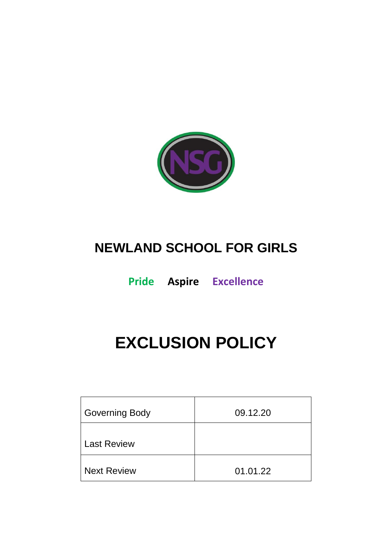

# **NEWLAND SCHOOL FOR GIRLS**

**Pride Aspire Excellence**

# **EXCLUSION POLICY**

| <b>Governing Body</b> | 09.12.20 |
|-----------------------|----------|
| <b>Last Review</b>    |          |
| <b>Next Review</b>    | 01.01.22 |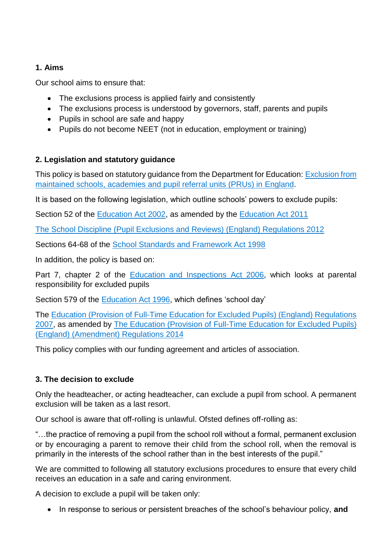# **1. Aims**

Our school aims to ensure that:

- The exclusions process is applied fairly and consistently
- The exclusions process is understood by governors, staff, parents and pupils
- Pupils in school are safe and happy
- Pupils do not become NEET (not in education, employment or training)

# **2. Legislation and statutory guidance**

This policy is based on statutory guidance from the Department for Education: [Exclusion from](https://www.gov.uk/government/publications/school-exclusion)  [maintained schools, academies and pupil referral units \(PRUs\) in England.](https://www.gov.uk/government/publications/school-exclusion)

It is based on the following legislation, which outline schools' powers to exclude pupils:

Section 52 of the [Education Act 2002,](http://www.legislation.gov.uk/ukpga/2002/32/section/52) as amended by the [Education Act 2011](http://www.legislation.gov.uk/ukpga/2011/21/contents/enacted)

[The School Discipline \(Pupil Exclusions and Reviews\) \(England\) Regulations 2012](http://www.legislation.gov.uk/uksi/2012/1033/made)

Sections 64-68 of the [School Standards and Framework Act 1998](http://www.legislation.gov.uk/ukpga/1998/31)

In addition, the policy is based on:

Part 7, chapter 2 of the [Education and Inspections Act 2006,](http://www.legislation.gov.uk/ukpga/2006/40/part/7/chapter/2) which looks at parental responsibility for excluded pupils

Section 579 of the [Education Act 1996,](http://www.legislation.gov.uk/ukpga/1996/56/section/579) which defines 'school day'

The [Education \(Provision of Full-Time Education for Excluded Pupils\) \(England\) Regulations](http://www.legislation.gov.uk/uksi/2007/1870/contents/made)  [2007,](http://www.legislation.gov.uk/uksi/2007/1870/contents/made) as amended by [The Education \(Provision of Full-Time Education for Excluded Pupils\)](http://www.legislation.gov.uk/uksi/2014/3216/contents/made)  [\(England\) \(Amendment\) Regulations 2014](http://www.legislation.gov.uk/uksi/2014/3216/contents/made)

This policy complies with our funding agreement and articles of association.

# **3. The decision to exclude**

Only the headteacher, or acting headteacher, can exclude a pupil from school. A permanent exclusion will be taken as a last resort.

Our school is aware that off-rolling is unlawful. Ofsted defines off-rolling as:

"…the practice of removing a pupil from the school roll without a formal, permanent exclusion or by encouraging a parent to remove their child from the school roll, when the removal is primarily in the interests of the school rather than in the best interests of the pupil."

We are committed to following all statutory exclusions procedures to ensure that every child receives an education in a safe and caring environment.

A decision to exclude a pupil will be taken only:

• In response to serious or persistent breaches of the school's behaviour policy, and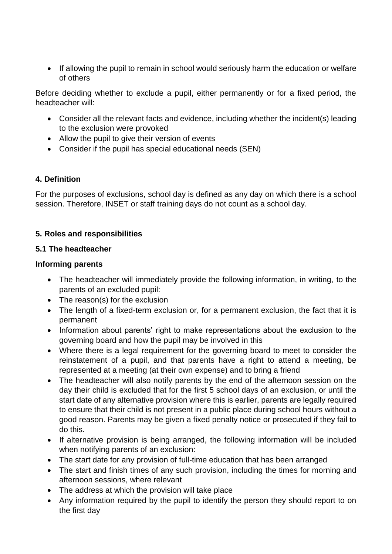• If allowing the pupil to remain in school would seriously harm the education or welfare of others

Before deciding whether to exclude a pupil, either permanently or for a fixed period, the headteacher will:

- Consider all the relevant facts and evidence, including whether the incident(s) leading to the exclusion were provoked
- Allow the pupil to give their version of events
- Consider if the pupil has special educational needs (SEN)

#### **4. Definition**

For the purposes of exclusions, school day is defined as any day on which there is a school session. Therefore, INSET or staff training days do not count as a school day.

# **5. Roles and responsibilities**

#### **5.1 The headteacher**

#### **Informing parents**

- The headteacher will immediately provide the following information, in writing, to the parents of an excluded pupil:
- The reason(s) for the exclusion
- The length of a fixed-term exclusion or, for a permanent exclusion, the fact that it is permanent
- Information about parents' right to make representations about the exclusion to the governing board and how the pupil may be involved in this
- Where there is a legal requirement for the governing board to meet to consider the reinstatement of a pupil, and that parents have a right to attend a meeting, be represented at a meeting (at their own expense) and to bring a friend
- The headteacher will also notify parents by the end of the afternoon session on the day their child is excluded that for the first 5 school days of an exclusion, or until the start date of any alternative provision where this is earlier, parents are legally required to ensure that their child is not present in a public place during school hours without a good reason. Parents may be given a fixed penalty notice or prosecuted if they fail to do this.
- If alternative provision is being arranged, the following information will be included when notifying parents of an exclusion:
- The start date for any provision of full-time education that has been arranged
- The start and finish times of any such provision, including the times for morning and afternoon sessions, where relevant
- The address at which the provision will take place
- Any information required by the pupil to identify the person they should report to on the first day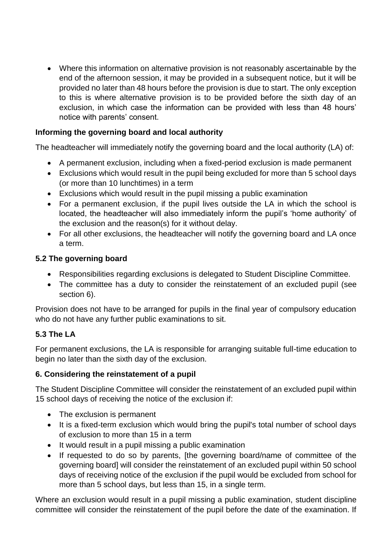Where this information on alternative provision is not reasonably ascertainable by the end of the afternoon session, it may be provided in a subsequent notice, but it will be provided no later than 48 hours before the provision is due to start. The only exception to this is where alternative provision is to be provided before the sixth day of an exclusion, in which case the information can be provided with less than 48 hours' notice with parents' consent.

# **Informing the governing board and local authority**

The headteacher will immediately notify the governing board and the local authority (LA) of:

- A permanent exclusion, including when a fixed-period exclusion is made permanent
- Exclusions which would result in the pupil being excluded for more than 5 school days (or more than 10 lunchtimes) in a term
- Exclusions which would result in the pupil missing a public examination
- For a permanent exclusion, if the pupil lives outside the LA in which the school is located, the headteacher will also immediately inform the pupil's 'home authority' of the exclusion and the reason(s) for it without delay.
- For all other exclusions, the headteacher will notify the governing board and LA once a term.

#### **5.2 The governing board**

- Responsibilities regarding exclusions is delegated to Student Discipline Committee.
- The committee has a duty to consider the reinstatement of an excluded pupil (see section 6).

Provision does not have to be arranged for pupils in the final year of compulsory education who do not have any further public examinations to sit.

#### **5.3 The LA**

For permanent exclusions, the LA is responsible for arranging suitable full-time education to begin no later than the sixth day of the exclusion.

#### **6. Considering the reinstatement of a pupil**

The Student Discipline Committee will consider the reinstatement of an excluded pupil within 15 school days of receiving the notice of the exclusion if:

- The exclusion is permanent
- It is a fixed-term exclusion which would bring the pupil's total number of school days of exclusion to more than 15 in a term
- It would result in a pupil missing a public examination
- If requested to do so by parents, [the governing board/name of committee of the governing board] will consider the reinstatement of an excluded pupil within 50 school days of receiving notice of the exclusion if the pupil would be excluded from school for more than 5 school days, but less than 15, in a single term.

Where an exclusion would result in a pupil missing a public examination, student discipline committee will consider the reinstatement of the pupil before the date of the examination. If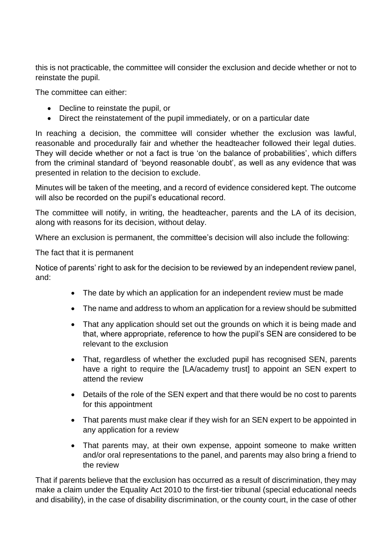this is not practicable, the committee will consider the exclusion and decide whether or not to reinstate the pupil.

The committee can either:

- Decline to reinstate the pupil, or
- Direct the reinstatement of the pupil immediately, or on a particular date

In reaching a decision, the committee will consider whether the exclusion was lawful, reasonable and procedurally fair and whether the headteacher followed their legal duties. They will decide whether or not a fact is true 'on the balance of probabilities', which differs from the criminal standard of 'beyond reasonable doubt', as well as any evidence that was presented in relation to the decision to exclude.

Minutes will be taken of the meeting, and a record of evidence considered kept. The outcome will also be recorded on the pupil's educational record.

The committee will notify, in writing, the headteacher, parents and the LA of its decision, along with reasons for its decision, without delay.

Where an exclusion is permanent, the committee's decision will also include the following:

The fact that it is permanent

Notice of parents' right to ask for the decision to be reviewed by an independent review panel, and:

- The date by which an application for an independent review must be made
- The name and address to whom an application for a review should be submitted
- That any application should set out the grounds on which it is being made and that, where appropriate, reference to how the pupil's SEN are considered to be relevant to the exclusion
- That, regardless of whether the excluded pupil has recognised SEN, parents have a right to require the [LA/academy trust] to appoint an SEN expert to attend the review
- Details of the role of the SEN expert and that there would be no cost to parents for this appointment
- That parents must make clear if they wish for an SEN expert to be appointed in any application for a review
- That parents may, at their own expense, appoint someone to make written and/or oral representations to the panel, and parents may also bring a friend to the review

That if parents believe that the exclusion has occurred as a result of discrimination, they may make a claim under the Equality Act 2010 to the first-tier tribunal (special educational needs and disability), in the case of disability discrimination, or the county court, in the case of other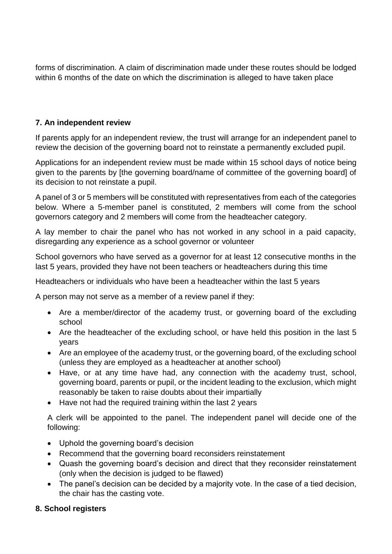forms of discrimination. A claim of discrimination made under these routes should be lodged within 6 months of the date on which the discrimination is alleged to have taken place

#### **7. An independent review**

If parents apply for an independent review, the trust will arrange for an independent panel to review the decision of the governing board not to reinstate a permanently excluded pupil.

Applications for an independent review must be made within 15 school days of notice being given to the parents by [the governing board/name of committee of the governing board] of its decision to not reinstate a pupil.

A panel of 3 or 5 members will be constituted with representatives from each of the categories below. Where a 5-member panel is constituted, 2 members will come from the school governors category and 2 members will come from the headteacher category.

A lay member to chair the panel who has not worked in any school in a paid capacity, disregarding any experience as a school governor or volunteer

School governors who have served as a governor for at least 12 consecutive months in the last 5 years, provided they have not been teachers or headteachers during this time

Headteachers or individuals who have been a headteacher within the last 5 years

A person may not serve as a member of a review panel if they:

- Are a member/director of the academy trust, or governing board of the excluding school
- Are the headteacher of the excluding school, or have held this position in the last 5 years
- Are an employee of the academy trust, or the governing board, of the excluding school (unless they are employed as a headteacher at another school)
- Have, or at any time have had, any connection with the academy trust, school, governing board, parents or pupil, or the incident leading to the exclusion, which might reasonably be taken to raise doubts about their impartially
- Have not had the required training within the last 2 years

A clerk will be appointed to the panel. The independent panel will decide one of the following:

- Uphold the governing board's decision
- Recommend that the governing board reconsiders reinstatement
- Quash the governing board's decision and direct that they reconsider reinstatement (only when the decision is judged to be flawed)
- The panel's decision can be decided by a majority vote. In the case of a tied decision, the chair has the casting vote.

#### **8. School registers**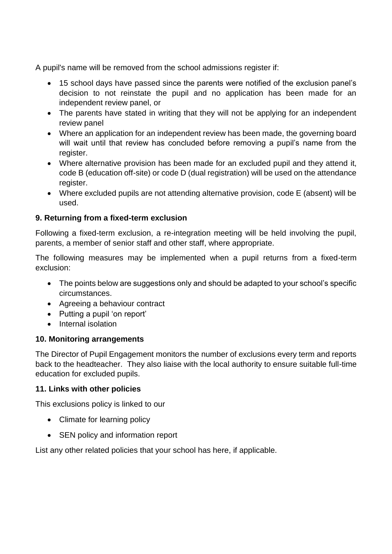A pupil's name will be removed from the school admissions register if:

- 15 school days have passed since the parents were notified of the exclusion panel's decision to not reinstate the pupil and no application has been made for an independent review panel, or
- The parents have stated in writing that they will not be applying for an independent review panel
- Where an application for an independent review has been made, the governing board will wait until that review has concluded before removing a pupil's name from the register.
- Where alternative provision has been made for an excluded pupil and they attend it, code B (education off-site) or code D (dual registration) will be used on the attendance register.
- Where excluded pupils are not attending alternative provision, code E (absent) will be used.

#### **9. Returning from a fixed-term exclusion**

Following a fixed-term exclusion, a re-integration meeting will be held involving the pupil, parents, a member of senior staff and other staff, where appropriate.

The following measures may be implemented when a pupil returns from a fixed-term exclusion:

- The points below are suggestions only and should be adapted to your school's specific circumstances.
- Agreeing a behaviour contract
- Putting a pupil 'on report'
- Internal isolation

#### **10. Monitoring arrangements**

The Director of Pupil Engagement monitors the number of exclusions every term and reports back to the headteacher. They also liaise with the local authority to ensure suitable full-time education for excluded pupils.

#### **11. Links with other policies**

This exclusions policy is linked to our

- Climate for learning policy
- SEN policy and information report

List any other related policies that your school has here, if applicable.